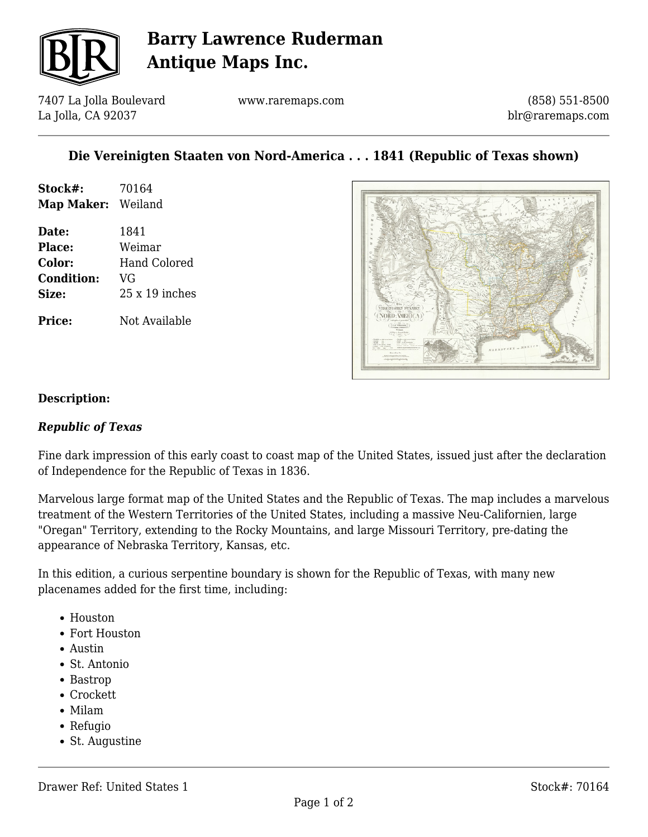

# **Barry Lawrence Ruderman Antique Maps Inc.**

7407 La Jolla Boulevard La Jolla, CA 92037

www.raremaps.com

(858) 551-8500 blr@raremaps.com

### **Die Vereinigten Staaten von Nord-America . . . 1841 (Republic of Texas shown)**

| Stock#:            | 70164          |
|--------------------|----------------|
| Map Maker: Weiland |                |
| Date:              | 1841           |
| <b>Place:</b>      | Weimar         |
| <b>Color:</b>      | Hand Colored   |
| <b>Condition:</b>  | VG             |
| Size:              | $25x19$ inches |
| <b>Price:</b>      | Not Available  |



#### **Description:**

#### *Republic of Texas*

Fine dark impression of this early coast to coast map of the United States, issued just after the declaration of Independence for the Republic of Texas in 1836.

Marvelous large format map of the United States and the Republic of Texas. The map includes a marvelous treatment of the Western Territories of the United States, including a massive Neu-Californien, large "Oregan" Territory, extending to the Rocky Mountains, and large Missouri Territory, pre-dating the appearance of Nebraska Territory, Kansas, etc.

In this edition, a curious serpentine boundary is shown for the Republic of Texas, with many new placenames added for the first time, including:

- Houston
- Fort Houston
- Austin
- St. Antonio
- Bastrop
- Crockett
- Milam
- Refugio
- St. Augustine